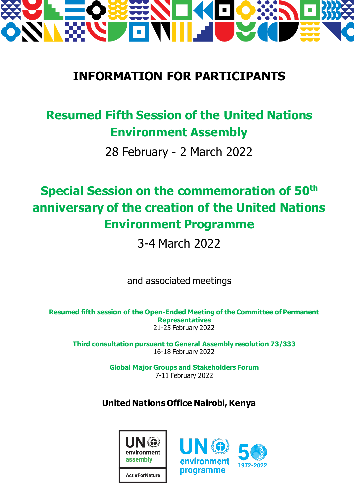

# **INFORMATION FOR PARTICIPANTS**

# **Resumed Fifth Session of the United Nations Environment Assembly**

28 February - 2 March 2022

# **Special Session on the commemoration of 50th anniversary of the creation of the United Nations Environment Programme**

3-4 March 2022

and associated meetings

**Resumed fifth session of the Open-Ended Meeting of the Committee of Permanent Representatives** 21-25 February 2022

**Third consultation pursuant to General Assembly resolution 73/333** 16-18 February 2022

> **Global Major Groups and Stakeholders Forum** 7-11 February 2022

## **United Nations Office Nairobi, Kenya**



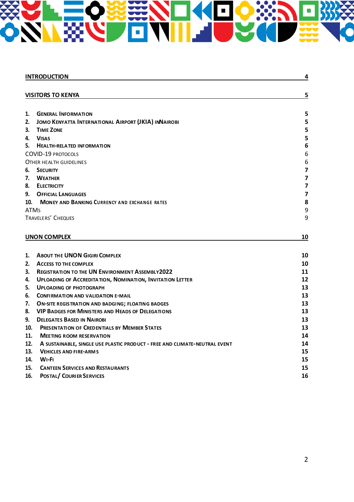# BB O

|             | <b>INTRODUCTION</b>                                                                                                        | 4                       |
|-------------|----------------------------------------------------------------------------------------------------------------------------|-------------------------|
|             |                                                                                                                            |                         |
|             | <b>VISITORS TO KENYA</b>                                                                                                   | 5                       |
|             |                                                                                                                            |                         |
| 1.          | <b>GENERAL INFORMATION</b>                                                                                                 | 5                       |
| 2.          | JOMO KENYATTA INTERNATIONAL AIRPORT (JKIA) INNAIROBI                                                                       | 5                       |
| 3.          | <b>TIME ZONE</b>                                                                                                           | 5                       |
| 4.<br>5.    | <b>VISAS</b>                                                                                                               | 5<br>6                  |
|             | <b>HEALTH-RELATED INFORMATION</b><br><b>COVID-19 PROTOCOLS</b>                                                             | 6                       |
|             | OTHER HEALTH GUIDELINES                                                                                                    | 6                       |
| 6.          | <b>SECURITY</b>                                                                                                            | 7                       |
| 7.          | <b>WEATHER</b>                                                                                                             | 7                       |
| 8.          | <b>ELECTRICITY</b>                                                                                                         | $\overline{\mathbf{z}}$ |
| 9.          | <b>OFFICIAL LANGUAGES</b>                                                                                                  | $\overline{\mathbf{z}}$ |
| 10.         | <b>MONEY AND BANKING CURRENCY AND EXCHANGE RATES</b>                                                                       | 8                       |
| <b>ATMS</b> |                                                                                                                            | 9                       |
|             | TRAVELERS' CHEQUES                                                                                                         | 9                       |
|             |                                                                                                                            |                         |
|             | <b>UNON COMPLEX</b>                                                                                                        | 10                      |
|             |                                                                                                                            |                         |
|             |                                                                                                                            |                         |
| 1.          | <b>ABOUT THE UNON GIGIRI COMPLEX</b>                                                                                       | 10                      |
| 2.          | <b>ACCESS TO THE COMPLEX</b>                                                                                               | 10                      |
| 3.<br>4.    | <b>REGISTRATION TO THE UN ENVIRONMENT ASSEMBLY2022</b><br><b>UPLOADING OF ACCREDITATION, NOMINATION, INVITATION LETTER</b> | 11<br>12                |
| 5.          | <b>UPLOADING OF PHOTOGRAPH</b>                                                                                             | 13                      |
| 6.          | <b>CONFIRMATION AND VALIDATION E-MAIL</b>                                                                                  | 13                      |
| 7.          |                                                                                                                            | 13                      |
| 8.          | <b>ON-SITE REGISTRATION AND BADGING; FLOATING BADGES</b><br><b>VIP BADGES FOR MINISTERS AND HEADS OF DELEGATIONS</b>       | 13                      |
| 9.          | <b>DELEGATES BASED IN NAIROBI</b>                                                                                          | 13                      |
| 10.         | <b>PRESENTATION OF CREDENTIALS BY MEMBER STATES</b>                                                                        | 13                      |
| 11.         | <b>MEETING ROOM RESERVATION</b>                                                                                            | 14                      |
| 12.         | A SUSTAINABLE, SINGLE USE PLASTIC PRODUCT - FREE AND CLIMATE-NEUTRAL EVENT                                                 | 14                      |
| 13.         | <b>VEHICLES AND FIRE-ARMS</b>                                                                                              | 15                      |
| 14.         | $WI-FI$                                                                                                                    | 15                      |
| 15.         | <b>CANTEEN SERVICES AND RESTAURANTS</b>                                                                                    | 15                      |
| 16.         | <b>POSTAL/ COURIER SERVICES</b>                                                                                            | 16                      |
|             |                                                                                                                            |                         |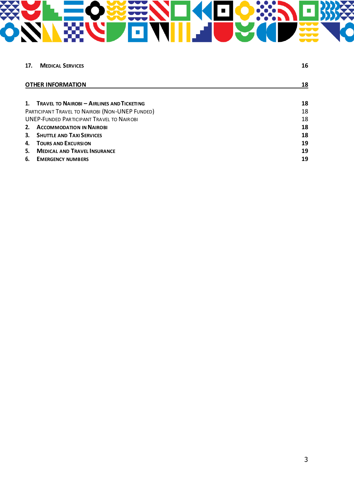# 

| 17.                                              | <b>MEDICAL SERVICES</b>                       | 16 |
|--------------------------------------------------|-----------------------------------------------|----|
|                                                  | <b>OTHER INFORMATION</b>                      | 18 |
|                                                  | 1. TRAVEL TO NAIROBI - AIRLINES AND TICKETING | 18 |
| PARTICIPANT TRAVEL TO NAIROBI (NON-UNEP FUNDED)  |                                               | 18 |
| <b>UNEP-FUNDED PARTICIPANT TRAVEL TO NAIROBI</b> |                                               | 18 |
| 2.                                               | <b>ACCOMMODATION IN NAIROBI</b>               | 18 |
|                                                  | 3. SHUTTLE AND TAXI SERVICES                  | 18 |
| 4.                                               | <b>TOURS AND EXCURSION</b>                    | 19 |
| 5.                                               | <b>MEDICAL AND TRAVEL INSURANCE</b>           | 19 |
| 6.                                               | <b>EMERGENCY NUMBERS</b>                      | 19 |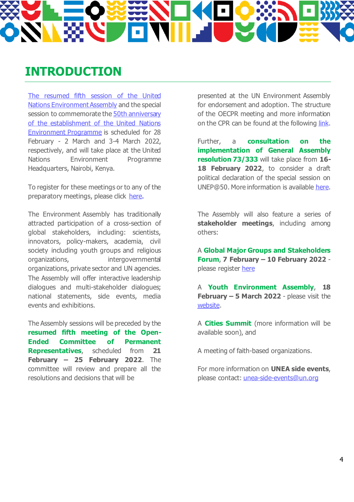# **INTRODUCTION**

The resumed fifth [session of the United](https://www.unep.org/environmentassembly/unea5)  [Nations Environment Assembly](https://www.unep.org/environmentassembly/unea5) and the special session to commemorate the 50th anniversary [of the establishment of the United Nations](https://www.unep.org/50-years/)  [Environment Programme](https://www.unep.org/50-years/) is scheduled for 28 February - 2 March and 3-4 March 2022, respectively, and will take place at the United Nations Environment Programme Headquarters, Nairobi, Kenya.

To register for these meetings or to any of the preparatory meetings, please click [here.](https://indico.un.org/event/1000360/overview)

The Environment Assembly has traditionally attracted participation of a cross-section of global stakeholders, including: scientists, innovators, policy-makers, academia, civil society including youth groups and religious organizations, intergovernmental organizations, private sector and UN agencies. The Assembly will offer interactive leadership dialogues and multi-stakeholder dialogues; national statements, side events, media events and exhibitions.

The Assembly sessions will be preceded by the **resumed fifth meeting of the Open-Ended Committee of Permanent Representatives**, scheduled from **21 February – 25 February 2022**. The committee will review and prepare all the resolutions and decisions that will be

presented at the UN Environment Assembly for endorsement and adoption. The structure of the OECPR meeting and more information on the CPR can be found at the following [link.](https://www.unep.org/events/open-ended-cpr-oecpr/resumed-meeting-fifth-open-ended-committee-permanent-representatives)

Further, a **consultation on the implementation of General Assembly resolution 73/333** will take place from **16-** 18 **February 2022**, to consider a draft political declaration of the special session on UNEP@50. More information is available [here.](https://www.unep.org/environmentassembly/follow-up-on-ga-res-73-333)

The Assembly will also feature a series of **stakeholder meetings**, including among others:

A **Global Major Groups and Stakeholders Forum**, **7 February – 10 February 2022** please register [here](https://www.eventbrite.com/e/global-major-groups-and-stakeholders-forum-7-10-february-2022-tickets-240872986587)

A **Youth Environment Assembly**, **18 February – 5 March 2022** - please visit the [website.](https://www.youthenvironment.org/yea)

A **Cities Summit** (more information will be available soon), and

A meeting of faith-based organizations.

For more information on **UNEA side events**, please contact: [unea-side-events@un.org](mailto:unea-side-events@un.org)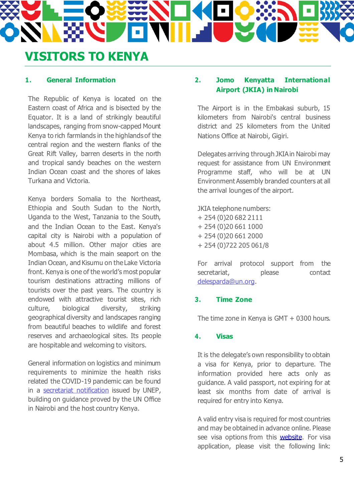## **VISITORS TO KENYA**

#### **1. General Information**

The Republic of Kenya is located on the Eastern coast of Africa and is bisected by the Equator. It is a land of strikingly beautiful landscapes, ranging from snow-capped Mount Kenya to rich farmlands in the highlands of the central region and the western flanks of the Great Rift Valley, barren deserts in the north and tropical sandy beaches on the western Indian Ocean coast and the shores of lakes Turkana and Victoria.

Kenya borders Somalia to the Northeast, Ethiopia and South Sudan to the North, Uganda to the West, Tanzania to the South, and the Indian Ocean to the East. Kenya's capital city is Nairobi with a population of about 4.5 million. Other major cities are Mombasa, which is the main seaport on the Indian Ocean, and Kisumu on the Lake Victoria front. Kenya is one of the world's most popular tourism destinations attracting millions of tourists over the past years. The country is endowed with attractive tourist sites, rich culture, biological diversity, striking geographical diversity and landscapes ranging from beautiful beaches to wildlife and forest reserves and archaeological sites. Its people are hospitable and welcoming to visitors.

General information on logistics and minimum requirements to minimize the health risks related the COVID-19 pandemic can be found in a [secretariat notification](https://wedocs.unep.org/bitstream/handle/20.500.11822/37658/Final%20notification%20UNEA-5.2%20and%20UNEP%4050%20.pdf?sequence=1&isAllowed=y) issued by UNEP, building on guidance proved by the UN Office in Nairobi and the host country Kenya.

#### **2. Jomo Kenyatta International Airport (JKIA) in Nairobi**

The Airport is in the Embakasi suburb, 15 kilometers from Nairobi's central business district and 25 kilometers from the United Nations Office at Nairobi, Gigiri.

Delegates arriving through JKIA in Nairobi may request for assistance from UN Environment Programme staff, who will be at UN Environment Assembly branded counters at all the arrival lounges of the airport.

JKIA telephone numbers: + 254 (0)20 682 2111 + 254 (0)20 661 1000 + 254 (0)20 661 2000 + 254 (0)722 205 061/8

For arrival protocol support from the secretariat, please contact [delesparda@un.org](mailto:delesparda@un.org).

## **3. Time Zone**

The time zone in Kenya is GMT + 0300 hours.

#### **4. Visas**

It is the delegate's own responsibility to obtain a visa for Kenya, prior to departure. The information provided here acts only as guidance. A valid passport, not expiring for at least six months from date of arrival is required for entry into Kenya.

A valid entry visa is required for most countries and may be obtained in advance online. Please see visa options from this **website**. For visa application, please visit the following link: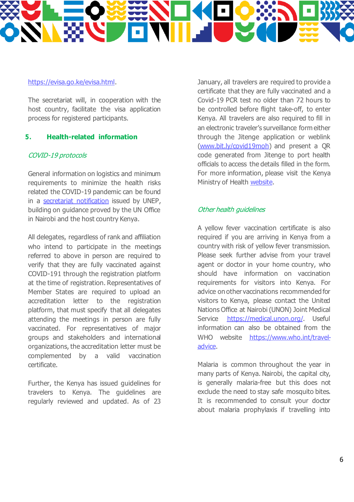

#### [https://evisa.go.ke/evisa.html.](https://evisa.go.ke/evisa.html)

The secretariat will, in cooperation with the host country, facilitate the visa application process for registered participants.

#### **5. Health-related information**

#### COVID-19 protocols

General information on logistics and minimum requirements to minimize the health risks related the COVID-19 pandemic can be found in a [secretariat notification](https://wedocs.unep.org/bitstream/handle/20.500.11822/37658/Final%20notification%20UNEA-5.2%20and%20UNEP%4050%20.pdf?sequence=1&isAllowed=y) issued by UNEP, building on guidance proved by the UN Office in Nairobi and the host country Kenya.

All delegates, regardless of rank and affiliation who intend to participate in the meetings referred to above in person are required to verify that they are fully vaccinated against COVID-191 through the registration platform at the time of registration. Representatives of Member States are required to upload an accreditation letter to the registration platform, that must specify that all delegates attending the meetings in person are fully vaccinated. For representatives of major groups and stakeholders and international organizations, the accreditation letter must be complemented by a valid vaccination certificate.

Further, the Kenya has issued guidelines for travelers to Kenya. The guidelines are regularly reviewed and updated. As of 23 January, all travelers are required to provide a certificate that they are fully vaccinated and a Covid-19 PCR test no older than 72 hours to be controlled before flight take-off, to enter Kenya. All travelers are also required to fill in an electronic traveler's surveillance form either through the Jitenge application or weblink [\(www.bit.ly/covid19moh](http://www.bit.ly/covid19moh)) and present a QR code generated from Jitenge to port health officials to access the details filled in the form. For more information, please visit the Kenya Ministry of Health [website.](https://www.health.go.ke/)

#### Other health guidelines

A yellow fever vaccination certificate is also required if you are arriving in Kenya from a country with risk of yellow fever transmission. Please seek further advise from your travel agent or doctor in your home country, who should have information on vaccination requirements for visitors into Kenya. For advice on other vaccinations recommended for visitors to Kenya, please contact the United Nations Office at Nairobi (UNON) Joint Medical Service <https://medical.unon.org/>. Useful information can also be obtained from the WHO website [https://www.who.int/travel](https://www.who.int/travel-advice)[advice.](https://www.who.int/travel-advice)

Malaria is common throughout the year in many parts of Kenya. Nairobi, the capital city, is generally malaria-free but this does not exclude the need to stay safe mosquito bites. It is recommended to consult your doctor about malaria prophylaxis if travelling into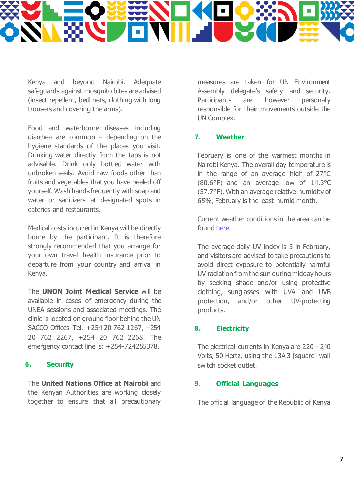

Kenya and beyond Nairobi. Adequate safeguards against mosquito bites are advised (insect repellent, bed nets, clothing with long trousers and covering the arms).

Food and waterborne diseases including diarrhea are common – depending on the hygiene standards of the places you visit. Drinking water directly from the taps is not advisable. Drink only bottled water with unbroken seals. Avoid raw foods other than fruits and vegetables that you have peeled off yourself. Wash hands frequently with soap and water or sanitizers at designated spots in eateries and restaurants.

Medical costs incurred in Kenya will be directly borne by the participant. It is therefore strongly recommended that you arrange for your own travel health insurance prior to departure from your country and arrival in Kenya.

The **UNON Joint Medical Service** will be available in cases of emergency during the UNEA sessions and associated meetings. The clinic is located on ground floor behind the UN SACCO Offices Tel. +254 20 762 1267, +254 20 762 2267, +254 20 762 2268. The emergency contact line is: +254-724255378.

#### **6. Security**

The **United Nations Office at Nairobi** and the Kenyan Authorities are working closely together to ensure that all precautionary

measures are taken for UN Environment Assembly delegate's safety and security. Participants are however personally responsible for their movements outside the UN Complex.

#### **7. Weather**

February is one of the warmest months in Nairobi Kenya. The overall day temperature is in the range of an average high of 27°C (80.6°F) and an average low of 14.3°C (57.7°F). With an average relative humidity of 65%, February is the least humid month.

Current weather conditions in the area can be found [here.](https://www.accuweather.com/en/ke/nairobi/224758/december-weather/224758)

The average daily UV index is 5 in February, and visitors are advised to take precautions to avoid direct exposure to potentially harmful UV radiation from the sun during midday hours by seeking shade and/or using protective clothing, sunglasses with UVA and UVB protection, and/or other UV-protecting products.

#### **8. Electricity**

The electrical currents in Kenya are 220 - 240 Volts, 50 Hertz, using the 13A 3 [square] wall switch socket outlet.

#### **9. Official Languages**

The official language of the Republic of Kenya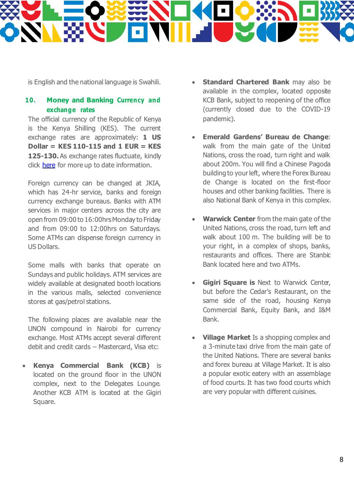

is English and the national language is Swahili.

## **10. Money and Banking Currency and exchange rates**

The official currency of the Republic of Kenya is the Kenya Shilling (KES). The current exchange rates are approximately: **1 US Dollar = KES 110-115 and 1 EUR = KES 125-130.** As exchange rates fluctuate, kindly click [here](https://www.centralbank.go.ke/rates/forex-exchange-rates/) for more up to date information.

Foreign currency can be changed at JKIA, which has 24-hr service, banks and foreign currency exchange bureaus. Banks with ATM services in major centers across the city are open from 09:00 to 16:00hrs Monday to Friday and from 09:00 to 12:00hrs on Saturdays. Some ATMs can dispense foreign currency in US Dollars.

Some malls with banks that operate on Sundays and public holidays. ATM services are widely available at designated booth locations in the various malls, selected convenience stores at gas/petrol stations.

The following places are available near the UNON compound in Nairobi for currency exchange. Most ATMs accept several different debit and credit cards – Mastercard, Visa etc:

• **Kenya Commercial Bank (KCB)** is located on the ground floor in the UNON complex, next to the Delegates Lounge. Another KCB ATM is located at the Gigiri Square.

- **Standard Chartered Bank** may also be available in the complex, located opposite KCB Bank, subject to reopening of the office (currently closed due to the COVID-19 pandemic).
- **Emerald Gardens' Bureau de Change**: walk from the main gate of the United Nations, cross the road, turn right and walk about 200m. You will find a Chinese Pagoda building to your left, where the Forex Bureau de Change is located on the first-floor houses and other banking facilities. There is also National Bank of Kenya in this complex.
- **Warwick Center** from the main gate of the United Nations, cross the road, turn left and walk about 100 m. The building will be to your right, in a complex of shops, banks, restaurants and offices. There are Stanbic Bank located here and two ATMs.
- **Gigiri Square is** Next to Warwick Center, but before the Cedar's Restaurant, on the same side of the road, housing Kenya Commercial Bank, Equity Bank, and I&M Bank.
- **Village Market** Is a shopping complex and a 3-minute taxi drive from the main gate of the United Nations. There are several banks and forex bureau at Village Market. It is also a popular exotic eatery with an assemblage of food courts. It has two food courts which are very popular with different cuisines.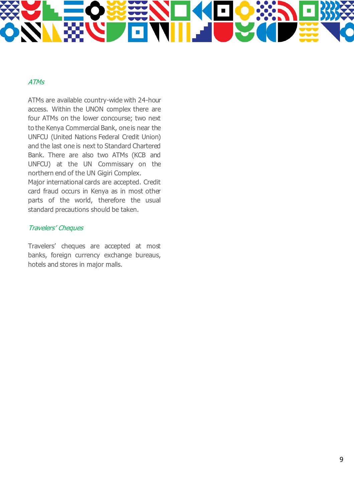#### ATMs

ATMs are available country-wide with 24-hour access. Within the UNON complex there are four ATMs on the lower concourse; two next to the Kenya Commercial Bank, one is near the UNFCU (United Nations Federal Credit Union) and the last one is next to Standard Chartered Bank. There are also two ATMs (KCB and UNFCU) at the UN Commissary on the northern end of the UN Gigiri Complex.

Major international cards are accepted. Credit card fraud occurs in Kenya as in most other parts of the world, therefore the usual standard precautions should be taken.

#### Travelers' Cheques

Travelers' cheques are accepted at most banks, foreign currency exchange bureaus, hotels and stores in major malls.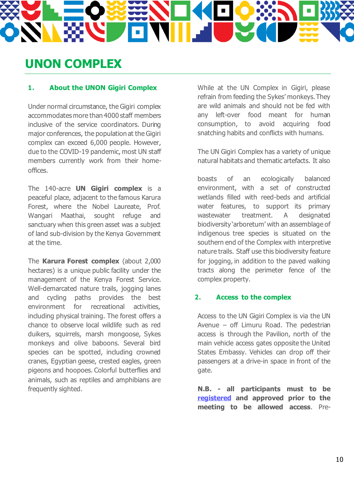# **UNON COMPLEX**

## **1. About the UNON Gigiri Complex**

Under normal circumstance, the Gigiri complex accommodates more than 4000 staff members inclusive of the service coordinators. During major conferences, the population at the Gigiri complex can exceed 6,000 people. However, due to the COVID-19 pandemic, most UN staff members currently work from their homeoffices.

The 140-acre **UN Gigiri complex** is a peaceful place, adjacent to the famous Karura Forest, where the Nobel Laureate, Prof. Wangari Maathai, sought refuge and sanctuary when this green asset was a subject of land sub-division by the Kenya Government at the time.

The **Karura Forest complex** (about 2,000 hectares) is a unique public facility under the management of the Kenya Forest Service. Well-demarcated nature trails, jogging lanes and cycling paths provides the best environment for recreational activities, including physical training. The forest offers a chance to observe local wildlife such as red duikers, squirrels, marsh mongoose, Sykes monkeys and olive baboons. Several bird species can be spotted, including crowned cranes, Egyptian geese, crested eagles, green pigeons and hoopoes. Colorful butterflies and animals, such as reptiles and amphibians are frequently sighted.

While at the UN Complex in Gigiri, please refrain from feeding the Sykes' monkeys. They are wild animals and should not be fed with any left-over food meant for human consumption, to avoid acquiring food snatching habits and conflicts with humans.

The UN Gigiri Complex has a variety of unique natural habitats and thematic artefacts. It also

boasts of an ecologically balanced environment, with a set of constructed wetlands filled with reed-beds and artificial water features, to support its primary wastewater treatment. A designated biodiversity 'arboretum' with an assemblage of indigenous tree species is situated on the southern end of the Complex with interpretive nature trails. Staff use this biodiversity feature for jogging, in addition to the paved walking tracts along the perimeter fence of the complex property.

#### **2. Access to the complex**

Access to the UN Gigiri Complex is via the UN Avenue – off Limuru Road. The pedestrian access is through the Pavilion, north of the main vehicle access gates opposite the United States Embassy. Vehicles can drop off their passengers at a drive-in space in front of the gate.

**N.B. - all participants must to be [registered](https://indico.un.org/event/1000360/overview) and approved prior to the meeting to be allowed access**. Pre-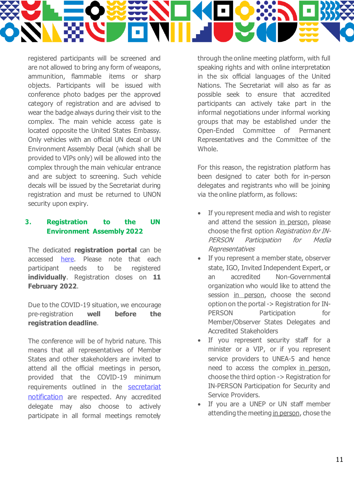

registered participants will be screened and are not allowed to bring any form of weapons, ammunition, flammable items or sharp objects. Participants will be issued with conference photo badges per the approved category of registration and are advised to wear the badge always during their visit to the complex. The main vehicle access gate is located opposite the United States Embassy. Only vehicles with an official UN decal or UN Environment Assembly Decal (which shall be provided to VIPs only) will be allowed into the complex through the main vehicular entrance and are subject to screening. Such vehicle decals will be issued by the Secretariat during registration and must be returned to UNON security upon expiry.

#### **3. Registration to the UN Environment Assembly 2022**

The dedicated **registration portal** can be accessed [here.](https://indico.un.org/event/1000360/overview) Please note that each participant needs to be registered **individually**. Registration closes on **11 February 2022**.

Due to the COVID-19 situation, we encourage pre-registration **well before the registration deadline**.

The conference will be of hybrid nature. This means that all representatives of Member States and other stakeholders are invited to attend all the official meetings in person, provided that the COVID-19 minimum requirements outlined in the [secretariat](https://wedocs.unep.org/bitstream/handle/20.500.11822/37658/Final%20notification%20UNEA-5.2%20and%20UNEP%4050%20.pdf?sequence=1&isAllowed=y)  [notification](https://wedocs.unep.org/bitstream/handle/20.500.11822/37658/Final%20notification%20UNEA-5.2%20and%20UNEP%4050%20.pdf?sequence=1&isAllowed=y) are respected. Any accredited delegate may also choose to actively participate in all formal meetings remotely

through the online meeting platform, with full speaking rights and with online interpretation in the six official languages of the United Nations. The Secretariat will also as far as possible seek to ensure that accredited participants can actively take part in the informal negotiations under informal working groups that may be established under the Open-Ended Committee of Permanent Representatives and the Committee of the Whole.

For this reason, the registration platform has been designed to cater both for in-person delegates and registrants who will be joining via the online platform, as follows:

- If you represent media and wish to register and attend the session in person, please choose the first option Registration for IN-PERSON Participation for Media Representatives
- If you represent a member state, observer state, IGO, Invited Independent Expert, or an accredited Non-Governmental organization who would like to attend the session in person, choose the second option on the portal -> Registration for IN-PERSON Participation for Member/Observer States Delegates and Accredited Stakeholders
- If you represent security staff for a minister or a VIP, or if you represent service providers to UNEA-5 and hence need to access the complex in person, choose the third option -> Registration for IN-PERSON Participation for Security and Service Providers.
- If you are a UNEP or UN staff member attending the meeting in person, chose the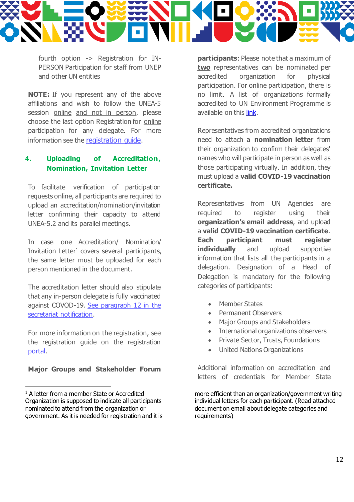

fourth option -> Registration for IN-PERSON Participation for staff from UNEP and other UN entities

**NOTE:** If you represent any of the above affiliations and wish to follow the UNEA-5 session online and not in person, please choose the last option Registration for online participation for any delegate. For more information see the [registration guide](https://indico.un.org/event/1000360/attachments/238/871/INDICO%20REGISTARTION%20GUIDE.pdf).

#### **4. Uploading of Accreditation, Nomination, Invitation Letter**

To facilitate verification of participation requests online, all participants are required to upload an accreditation/nomination/invitation letter confirming their capacity to attend UNEA-5.2 and its parallel meetings.

In case one Accreditation/ Nomination/ Invitation Letter 1 covers several participants, the same letter must be uploaded for each person mentioned in the document.

The accreditation letter should also stipulate that any in-person delegate is fully vaccinated against COVOD-19[. See paragraph 12 in the](https://wedocs.unep.org/bitstream/handle/20.500.11822/37658/Final%20notification%20UNEA-5.2%20and%20UNEP%4050%20.pdf?sequence=1&isAllowed=y)  [secretariat notification.](https://wedocs.unep.org/bitstream/handle/20.500.11822/37658/Final%20notification%20UNEA-5.2%20and%20UNEP%4050%20.pdf?sequence=1&isAllowed=y)

For more information on the registration, see the registration guide on the registration [portal.](https://indico.un.org/event/1000360/overview)

**Major Groups and Stakeholder Forum** 

**participants**: Please note that a maximum of **two** representatives can be nominated per accredited organization for physical participation. For online participation, there is no limit. A list of organizations formally accredited to UN Environment Programme is available on this [link.](https://www.unep.org/civil-society-engagement/accreditation/list-accredited-organizations)

Representatives from accredited organizations need to attach a **nomination letter** from their organization to confirm their delegates' names who will participate in person as well as those participating virtually. In addition, they must upload a **valid COVID-19 vaccination certificate.**

Representatives from UN Agencies are required to register using their **organization's email address**, and upload a **valid COVID-19 vaccination certificate**. **Each participant must register individually** and upload supportive information that lists all the participants in a delegation. Designation of a Head of Delegation is mandatory for the following categories of participants:

- **Member States**
- Permanent Observers
- Major Groups and Stakeholders
- International organizations observers
- Private Sector, Trusts, Foundations
- United Nations Organizations

Additional information on accreditation and letters of credentials for Member State

more efficient than an organization/government writing individual letters for each participant. (Read attached document on email about delegate categories and requirements)

 $1$  A letter from a member State or Accredited Organization is supposed to indicate all participants nominated to attend from the organization or government. As it is needed for registration and it is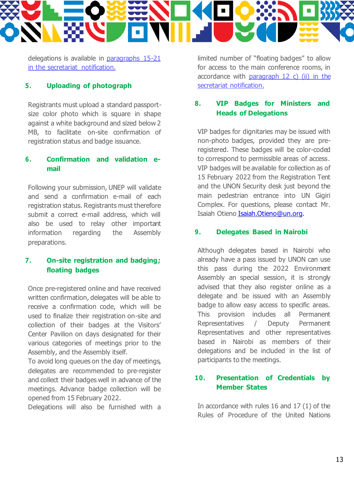delegations is available in [paragraphs 15-21](file:///C:/Users/bjornhu/Documents/Eget/UNEA/Key%20docs/the%20registration%20website)  [in the secretariat notification.](file:///C:/Users/bjornhu/Documents/Eget/UNEA/Key%20docs/the%20registration%20website)

#### **5. Uploading of photograph**

Registrants must upload a standard passportsize color photo which is square in shape against a white background and sized below 2 MB, to facilitate on-site confirmation of registration status and badge issuance.

#### **6. Confirmation and validation email**

Following your submission, UNEP will validate and send a confirmation e-mail of each registration status. Registrants must therefore submit a correct e-mail address, which will also be used to relay other important information regarding the Assembly preparations.

## **7. On-site registration and badging; floating badges**

Once pre-registered online and have received written confirmation, delegates will be able to receive a confirmation code, which will be used to finalize their registration on-site and collection of their badges at the Visitors' Center Pavilion on days designated for their various categories of meetings prior to the Assembly, and the Assembly itself.

To avoid long queues on the day of meetings, delegates are recommended to pre-register and collect their badges well in advance of the meetings. Advance badge collection will be opened from 15 February 2022.

Delegations will also be furnished with a

limited number of "floating badges" to allow for access to the main conference rooms, in accordance with paragraph  $12$  c) (ii) in the [secretariat notification.](https://wedocs.unep.org/bitstream/handle/20.500.11822/37658/Final%20notification%20UNEA-5.2%20and%20UNEP%4050%20.pdf?sequence=1&isAllowed=y)

## **8. VIP Badges for Ministers and Heads of Delegations**

VIP badges for dignitaries may be issued with non-photo badges, provided they are preregistered. These badges will be color-coded to correspond to permissible areas of access. VIP badges will be available for collection as of 15 February 2022 from the Registration Tent and the UNON Security desk just beyond the main pedestrian entrance into UN Gigiri Complex. For questions, please contact Mr. Isaiah Otien[o Isaiah.Otieno@un.org](mailto:Isaiah.Otieno@un.org).

#### **9. Delegates Based in Nairobi**

Although delegates based in Nairobi who already have a pass issued by UNON can use this pass during the 2022 Environment Assembly an special session, it is strongly advised that they also register online as a delegate and be issued with an Assembly badge to allow easy access to specific areas. This provision includes all Permanent Representatives / Deputy Permanent Representatives and other representatives based in Nairobi as members of their delegations and be included in the list of participants to the meetings.

## **10. Presentation of Credentials by Member States**

In accordance with rules 16 and 17 (1) of the Rules of Procedure of the United Nations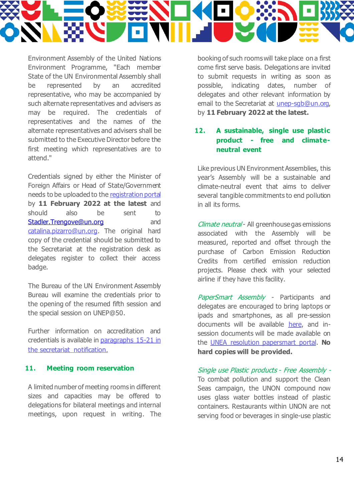

Environment Assembly of the United Nations Environment Programme, "Each member State of the UN Environmental Assembly shall be represented by an accredited representative, who may be accompanied by such alternate representatives and advisers as may be required. The credentials of representatives and the names of the alternate representatives and advisers shall be submitted to the Executive Director before the first meeting which representatives are to attend."

Credentials signed by either the Minister of Foreign Affairs or Head of State/Government needs to be uploaded to th[e registration portal](https://indico.un.org/event/1000360/overview) by **11 February 2022 at the latest** and should also be sent to [Stadler.Trengove@un.org](mailto:Stadler.Trengove@un.org) and [catalina.pizarro@un.org](mailto:catalina.pizarro@un.org). The original hard copy of the credential should be submitted to the Secretariat at the registration desk as delegates register to collect their access badge.

The Bureau of the UN Environment Assembly Bureau will examine the credentials prior to the opening of the resumed fifth session and the special session on UNEP@50.

Further information on accreditation and credentials is available i[n paragraphs 15-21 in](file:///C:/Users/bjornhu/Documents/Eget/UNEA/Key%20docs/the%20registration%20website)  [the secretariat notification.](file:///C:/Users/bjornhu/Documents/Eget/UNEA/Key%20docs/the%20registration%20website)

#### **11. Meeting room reservation**

A limited number of meeting rooms in different sizes and capacities may be offered to delegations for bilateral meetings and internal meetings, upon request in writing. The booking of such rooms will take place on a first come first serve basis. Delegations are invited to submit requests in writing as soon as possible, indicating dates, number of delegates and other relevant information by email to the Secretariat at unep-sgb@un.org. by **11 February 2022 at the latest.** 

#### **12. A sustainable, single use plastic product - free and climateneutral event**

Like previous UN Environment Assemblies, this year's Assembly will be a sustainable and climate-neutral event that aims to deliver several tangible commitments to end pollution in all its forms.

Climate neutral - All greenhouse gas emissions associated with the Assembly will be measured, reported and offset through the purchase of Carbon Emission Reduction Credits from certified emission reduction projects. Please check with your selected airline if they have this facility.

PaperSmart Assembly - Participants and delegates are encouraged to bring laptops or ipads and smartphones, as all pre-session documents will be available [here,](https://www.unep.org/environmentassembly/pre-session-documents-unea-5) and insession documents will be made available on the [UNEA resolution papersmart portal.](https://apps1.unep.org/resolution/user/login?destination=node/328) **No hard copies will be provided.**

Single use Plastic products - Free Assembly - To combat pollution and support the Clean Seas campaign, the UNON compound now uses glass water bottles instead of plastic containers. Restaurants within UNON are not serving food or beverages in single-use plastic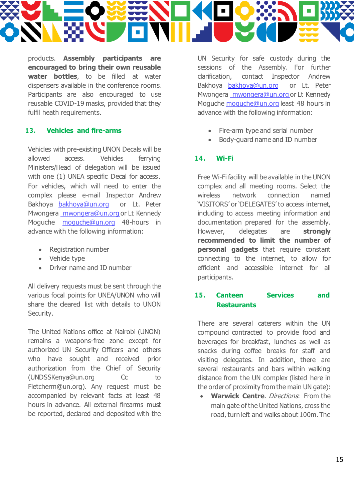

products. **Assembly participants are encouraged to bring their own reusable water bottles**, to be filled at water dispensers available in the conference rooms. Participants are also encouraged to use reusable COVID-19 masks, provided that they fulfil heath requirements.

#### **13. Vehicles and fire-arms**

Vehicles with pre-existing UNON Decals will be allowed access. Vehicles ferrying Ministers/Head of delegation will be issued with one (1) UNEA specific Decal for access. For vehicles, which will need to enter the complex please e-mail Inspector Andrew Bakhoya [bakhoya@un.org](mailto:bakhoya@un.org) or Lt. Peter Mwonger[a mwongera@un.org o](mailto:%20mwongera@un.org)r Lt Kennedy Moguche [moguche@un.org](mailto:moguche@un.org) 48-hours in advance with the following information:

- Registration number
- Vehicle type
- Driver name and ID number

All delivery requests must be sent through the various focal points for UNEA/UNON who will share the cleared list with details to UNON Security.

The United Nations office at Nairobi (UNON) remains a weapons-free zone except for authorized UN Security Officers and others who have sought and received prior authorization from the Chief of Security [\(UNDSSKenya@un.org](mailto:(UNDSSKenya@un.org) Cc to Fletcherm@un.org). Any request must be accompanied by relevant facts at least 48 hours in advance. All external firearms must be reported, declared and deposited with the

UN Security for safe custody during the sessions of the Assembly. For further clarification, contact Inspector Andrew Bakhoya [bakhoya@un.org](mailto:andrew.bakhoya@unon.org) or Lt. Peter Mwongera [mwongera@un.org o](mailto:%20mwongera@un.org)r Lt Kennedy Moguche [moguche@un.org](mailto:moguche@un.org) least 48 hours in advance with the following information:

- Fire-arm type and serial number
- Body-guard name and ID number

#### **14. Wi-Fi**

Free Wi-Fi facility will be available in the UNON complex and all meeting rooms. Select the wireless network connection named 'VISITORS' or 'DELEGATES' to access internet, including to access meeting information and documentation prepared for the assembly. However, delegates are **strongly recommended to limit the number of personal gadgets** that require constant connecting to the internet, to allow for efficient and accessible internet for all participants.

#### **15. Canteen Services and Restaurants**

There are several caterers within the UN compound contracted to provide food and beverages for breakfast, lunches as well as snacks during coffee breaks for staff and visiting delegates. In addition, there are several restaurants and bars within walking distance from the UN complex (listed here in the order of proximity from the main UN gate):

**Warwick Centre.** Directions: From the main gate of the United Nations, cross the road, turn left and walks about 100m. The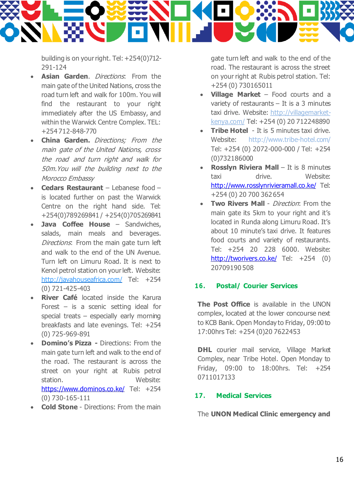

building is on your right. Tel: +254(0)712- 291-124

- **Asian Garden**. Directions: From the main gate of the United Nations, cross the road turn left and walk for 100m. You will find the restaurant to your right immediately after the US Embassy, and within the Warwick Centre Complex. TEL: +254 712-848-770
- **China Garden.** Directions; From the main gate of the United Nations, cross the road and turn right and walk for 50m.You will the building next to the Morocco Embassy
- **Cedars Restaurant** Lebanese food is located further on past the Warwick Centre on the right hand side. Tel: +254(0)789269841 / +254(0)705269841
- **Java Coffee House Sandwiches,** salads, main meals and beverages. Directions: From the main gate turn left and walk to the end of the UN Avenue. Turn left on Limuru Road. It is next to Kenol petrol station on your left. Website: <http://javahouseafrica.com/> Tel: +254 (0) 721-425-403
- **River Café** located inside the Karura Forest – is a scenic setting ideal for special treats – especially early morning breakfasts and late evenings. Tel: +254 (0) 725-969-891
- **Domino's Pizza -** Directions: From the main gate turn left and walk to the end of the road. The restaurant is across the street on your right at Rubis petrol station. Website: <https://www.dominos.co.ke/> Tel: +254 (0) 730-165-111
- **Cold Stone**  Directions: From the main

gate turn left and walk to the end of the road. The restaurant is across the street on your right at Rubis petrol station. Tel: +254 (0) 730165011

- **Village Market**  Food courts and a variety of restaurants – It is a 3 minutes taxi drive. Website: [http://villagemarket](http://villagemarket-kenya.com/)[kenya.com/](http://villagemarket-kenya.com/) Tel: +254 (0) 20 712248890
- **Tribe Hotel** It is 5 minutes taxi drive. Website: <http://www.tribe-hotel.com/> Tel: +254 (0) 2072-000-000 / Tel: +254 (0)732186000
- **Rosslyn Riviera Mall** It is 8 minutes taxi drive. Website: <http://www.rosslynrivieramall.co.ke/> Tel: +254 (0) 20 700 362654
- **Two Rivers Mall**  Direction: From the main gate its 5km to your right and it's located in Runda along Limuru Road. It's about 10 minute's taxi drive. It features food courts and variety of restaurants. Tel: +254 20 228 6000. Website: <http://tworivers.co.ke/> Tel: +254 (0) 20709190 508

#### **16. Postal/ Courier Services**

**The Post Office** is available in the UNON complex, located at the lower concourse next to KCB Bank. Open Monday to Friday, 09:00 to 17:00hrs Tel: +254 (0)20 7622453

**DHL** courier mail service, Village Market Complex, near Tribe Hotel. Open Monday to Friday, 09:00 to 18:00hrs. Tel: +254 0711017133

#### **17. Medical Services**

The **UNON Medical Clinic emergency and**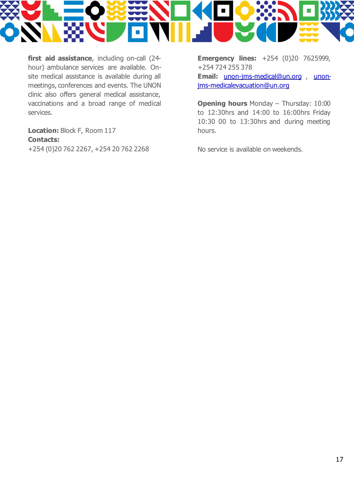

**first aid assistance**, including on-call (24 hour) ambulance services are available. Onsite medical assistance is available during all meetings, conferences and events. The UNON clinic also offers general medical assistance, vaccinations and a broad range of medical services.

**Location:** Block F, Room 117 **Contacts:** +254 (0)20 762 2267, +254 20 762 2268 **Emergency lines:** +254 (0)20 7625999, +254 724 255 378 **Email:** [unon-jms-medical@un.org](mailto:unon-jms-medical@un.org) , [unon](mailto:unon-jms-medicalevacuation@un.org)[jms-medicalevacuation@un.org](mailto:unon-jms-medicalevacuation@un.org)

**Opening hours** Monday – Thursday: 10:00 to 12:30hrs and 14:00 to 16:00hrs Friday 10:30 00 to 13:30hrs and during meeting hours.

No service is available on weekends.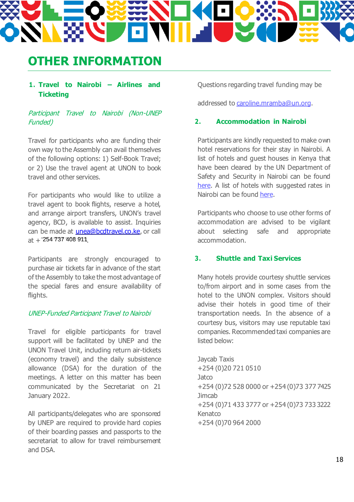# **OTHER INFORMATION**

#### **1. Travel to Nairobi – Airlines and Ticketing**

Participant Travel to Nairobi (Non-UNEP Funded)

Travel for participants who are funding their own way to the Assembly can avail themselves of the following options: 1) Self-Book Travel; or 2) Use the travel agent at UNON to book travel and other services.

For participants who would like to utilize a travel agent to book flights, reserve a hotel, and arrange airport transfers, UNON's travel agency, BCD, is available to assist. Inquiries can be made at *unea*@bcdtravel.co.ke, or call at +<sup>-</sup>254 737 408 911<sub>.</sub>

Participants are strongly encouraged to purchase air tickets far in advance of the start of the Assembly to take the most advantage of the special fares and ensure availability of flights.

#### UNEP-Funded Participant Travel to Nairobi

Travel for eligible participants for travel support will be facilitated by UNEP and the UNON Travel Unit, including return air-tickets (economy travel) and the daily subsistence allowance (DSA) for the duration of the meetings. A letter on this matter has been communicated by the Secretariat on 21 January 2022.

All participants/delegates who are sponsored by UNEP are required to provide hard copies of their boarding passes and passports to the secretariat to allow for travel reimbursement and DSA.

Questions regarding travel funding may be

addressed t[o caroline.mramba@un.org](mailto:caroline.mramba@un.org).

#### **2. Accommodation in Nairobi**

Participants are kindly requested to make own hotel reservations for their stay in Nairobi. A list of hotels and guest houses in Kenya that have been cleared by the UN Department of Safety and Security in Nairobi can be found [here.](https://wedocs.unep.org/bitstream/handle/20.500.11822/37890/UNDSS%20Recommended%20Hotels%20in%20Kenya_FINAL_Dec%202020.pdf?sequence=1&isAllowed=y) A list of hotels with suggested rates in Nairobi can be foun[d here.](https://wedocs.unep.org/bitstream/handle/20.500.11822/37891/Hotel%20Rates%202021.pdf?sequence=1&isAllowed=y)

Participants who choose to use other forms of accommodation are advised to be vigilant about selecting safe and appropriate accommodation.

#### **3. Shuttle and Taxi Services**

Many hotels provide courtesy shuttle services to/from airport and in some cases from the hotel to the UNON complex. Visitors should advise their hotels in good time of their transportation needs. In the absence of a courtesy bus, visitors may use reputable taxi companies. Recommended taxi companies are listed below:

Jaycab Taxis +254 (0)20 721 0510 **Jatco** +254 (0)72 528 0000 or +254 (0)73 377 7425 **Jimcab** +254 (0)71 433 3777 or +254 (0)73 733 3222 Kenatco +254 (0)70 964 2000